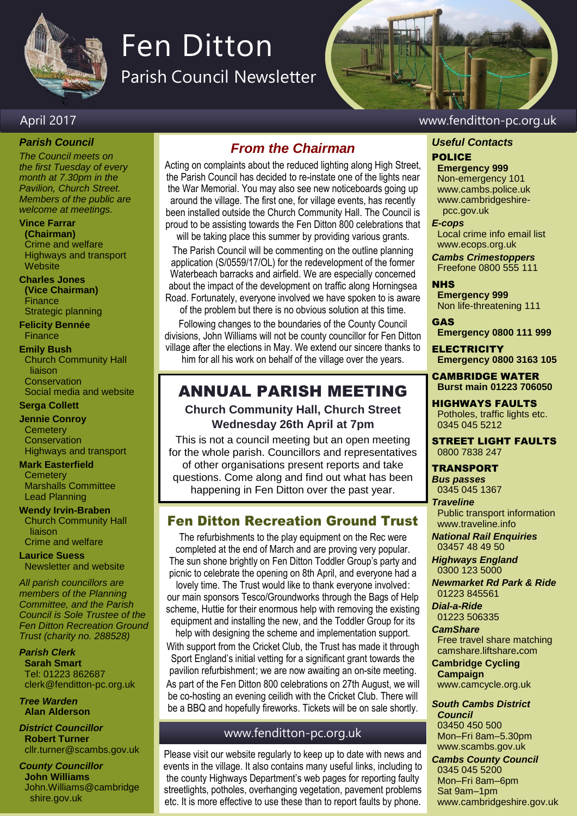

# Fen Ditton

Parish Council Newsletter

# April 2017 www.fenditton-pc.org.uk

*Parish Council*

*The Council meets on the first Tuesday of every month at 7.30pm in the Pavilion, Church Street. Members of the public are welcome at meetings.*

#### **Vince Farrar**

**(Chairman)** Crime and welfare Highways and transport **Website** 

### **Charles Jones**

**(Vice Chairman) Finance** Strategic planning

**Felicity Bennée Finance** 

#### **Emily Bush**

Church Community Hall liaison **Conservation** Social media and website

#### **Serga Collett**

#### **Jennie Conroy**

**Cemetery Conservation** Highways and transport

#### **Mark Easterfield**

**Cemetery** Marshalls Committee Lead Planning

**Wendy Irvin-Braben** Church Community Hall liaison

Crime and welfare **Laurice Suess** Newsletter and website

*All parish councillors are members of the Planning Committee, and the Parish Council is Sole Trustee of the Fen Ditton Recreation Ground Trust (charity no. 288528)*

*Parish Clerk* **Sarah Smart** Tel: 01223 862687 clerk@fenditton-pc.org.uk

*Tree Warden* **Alan Alderson**

*District Councillor* **Robert Turner** cllr.turner@scambs.gov.uk

*County Councillor* **John Williams** John.Williams@cambridge shire.gov.uk

# *From the Chairman*

Acting on complaints about the reduced lighting along High Street, the Parish Council has decided to re-instate one of the lights near the War Memorial. You may also see new noticeboards going up around the village. The first one, for village events, has recently been installed outside the Church Community Hall. The Council is proud to be assisting towards the Fen Ditton 800 celebrations that

will be taking place this summer by providing various grants. The Parish Council will be commenting on the outline planning application (S/0559/17/OL) for the redevelopment of the former Waterbeach barracks and airfield. We are especially concerned about the impact of the development on traffic along Horningsea Road. Fortunately, everyone involved we have spoken to is aware of the problem but there is no obvious solution at this time.

Following changes to the boundaries of the County Council divisions, John Williams will not be county councillor for Fen Ditton village after the elections in May. We extend our sincere thanks to him for all his work on behalf of the village over the years.

# ANNUAL PARISH MEETING

**Church Community Hall, Church Street Wednesday 26th April at 7pm**

This is not a council meeting but an open meeting for the whole parish. Councillors and representatives of other organisations present reports and take questions. Come along and find out what has been happening in Fen Ditton over the past year.

# Fen Ditton Recreation Ground Trust

The refurbishments to the play equipment on the Rec were completed at the end of March and are proving very popular. The sun shone brightly on Fen Ditton Toddler Group's party and picnic to celebrate the opening on 8th April, and everyone had a

lovely time. The Trust would like to thank everyone involved: our main sponsors Tesco/Groundworks through the Bags of Help scheme, Huttie for their enormous help with removing the existing equipment and installing the new, and the Toddler Group for its help with designing the scheme and implementation support.

With support from the Cricket Club, the Trust has made it through Sport England's initial vetting for a significant grant towards the pavilion refurbishment; we are now awaiting an on-site meeting. As part of the Fen Ditton 800 celebrations on 27th August, we will be co-hosting an evening ceilidh with the Cricket Club. There will be a BBQ and hopefully fireworks. Tickets will be on sale shortly.

## www.fenditton-pc.org.uk

Please visit our website regularly to keep up to date with news and events in the village. It also contains many useful links, including to the county Highways Department's web pages for reporting faulty streetlights, potholes, overhanging vegetation, pavement problems etc. It is more effective to use these than to report faults by phone.

# *Useful Contacts*

## POLICE

**Emergency 999** Non-emergency 101 www.cambs.police.uk www.cambridgeshire pcc.gov.uk

#### *E-cops*

Local crime info email list www.ecops.org.uk

*Cambs Crimestoppers* Freefone 0800 555 111

#### NHS

**Emergency 999** Non life-threatening 111

GAS

**Emergency 0800 111 999**

**ELECTRICITY Emergency 0800 3163 105**

CAMBRIDGE WATER **Burst main 01223 706050**

HIGHWAYS FAULTS Potholes, traffic lights etc. 0345 045 5212

STREET LIGHT FAULTS 0800 7838 247

#### TRANSPORT

*Bus passes* 0345 045 1367 *Traveline*

Public transport information www.traveline.info

*National Rail Enquiries* 03457 48 49 50

*Highways England* 0300 123 5000

*Newmarket Rd Park & Ride* 01223 845561

*Dial-a-Ride* 01223 506335

#### *CamShare*

Free travel share matching camshare.liftshare**.**com

**Cambridge Cycling Campaign** www.camcycle.org.uk

*South Cambs District Council* 03450 450 500 Mon–Fri 8am–5.30pm

www.scambs.gov.uk *Cambs County Council* 0345 045 5200 Mon–Fri 8am–6pm Sat 9am–1pm

www.cambridgeshire.gov.uk